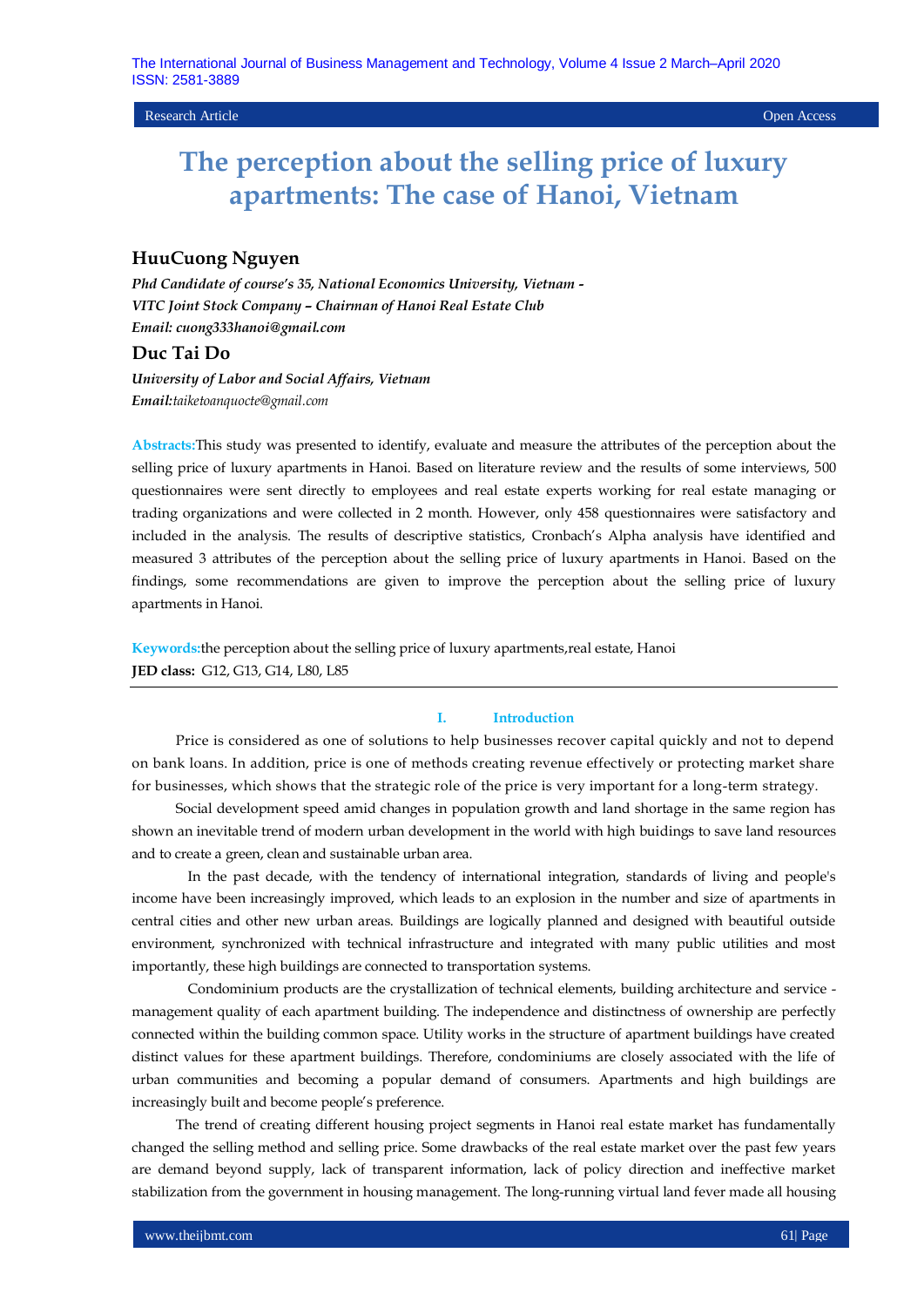Research Article Open Access

# **The perception about the selling price of luxury apartments: The case of Hanoi, Vietnam**

# **HuuCuong Nguyen**

*Phd Candidate of course's 35, National Economics University, Vietnam - VITC Joint Stock Company – Chairman of Hanoi Real Estate Club Email: cuong333hanoi@gmail.com*

# **Duc Tai Do**

*University of Labor and Social Affairs, Vietnam Email:taiketoanquocte@gmail.com*

**Abstracts:**This study was presented to identify, evaluate and measure the attributes of the perception about the selling price of luxury apartments in Hanoi. Based on literature review and the results of some interviews, 500 questionnaires were sent directly to employees and real estate experts working for real estate managing or trading organizations and were collected in 2 month. However, only 458 questionnaires were satisfactory and included in the analysis. The results of descriptive statistics, Cronbach's Alpha analysis have identified and measured 3 attributes of the perception about the selling price of luxury apartments in Hanoi. Based on the findings, some recommendations are given to improve the perception about the selling price of luxury apartments in Hanoi.

**Keywords:**the perception about the selling price of luxury apartments,real estate, Hanoi **JED class:** G12, G13, G14, L80, L85

#### **I. Introduction**

Price is considered as one of solutions to help businesses recover capital quickly and not to depend on bank loans. In addition, price is one of methods creating revenue effectively or protecting market share for businesses, which shows that the strategic role of the price is very important for a long-term strategy.

Social development speed amid changes in population growth and land shortage in the same region has shown an inevitable trend of modern urban development in the world with high buidings to save land resources and to create a green, clean and sustainable urban area.

In the past decade, with the tendency of international integration, standards of living and people's income have been increasingly improved, which leads to an explosion in the number and size of apartments in central cities and other new urban areas. Buildings are logically planned and designed with beautiful outside environment, synchronized with technical infrastructure and integrated with many public utilities and most importantly, these high buildings are connected to transportation systems.

Condominium products are the crystallization of technical elements, building architecture and service management quality of each apartment building. The independence and distinctness of ownership are perfectly connected within the building common space. Utility works in the structure of apartment buildings have created distinct values for these apartment buildings. Therefore, condominiums are closely associated with the life of urban communities and becoming a popular demand of consumers. Apartments and high buildings are increasingly built and become people's preference.

The trend of creating different housing project segments in Hanoi real estate market has fundamentally changed the selling method and selling price. Some drawbacks of the real estate market over the past few years are demand beyond supply, lack of transparent information, lack of policy direction and ineffective market stabilization from the government in housing management. The long-running virtual land fever made all housing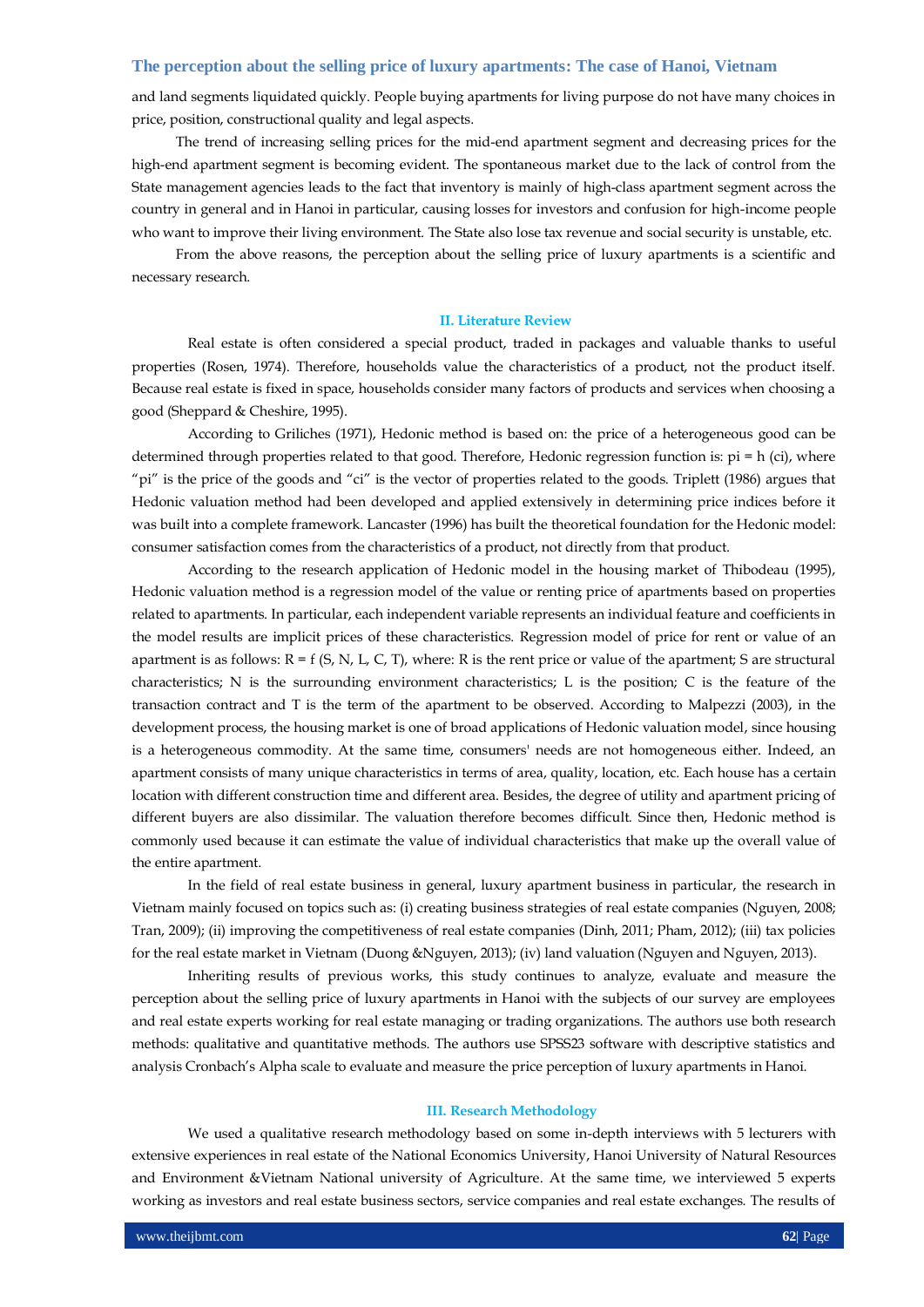and land segments liquidated quickly. People buying apartments for living purpose do not have many choices in price, position, constructional quality and legal aspects.

The trend of increasing selling prices for the mid-end apartment segment and decreasing prices for the high-end apartment segment is becoming evident. The spontaneous market due to the lack of control from the State management agencies leads to the fact that inventory is mainly of high-class apartment segment across the country in general and in Hanoi in particular, causing losses for investors and confusion for high-income people who want to improve their living environment. The State also lose tax revenue and social security is unstable, etc.

From the above reasons, the perception about the selling price of luxury apartments is a scientific and necessary research.

#### **II. Literature Review**

Real estate is often considered a special product, traded in packages and valuable thanks to useful properties (Rosen, 1974). Therefore, households value the characteristics of a product, not the product itself. Because real estate is fixed in space, households consider many factors of products and services when choosing a good (Sheppard & Cheshire, 1995).

According to Griliches (1971), Hedonic method is based on: the price of a heterogeneous good can be determined through properties related to that good. Therefore, Hedonic regression function is: pi = h (ci), where "pi" is the price of the goods and "ci" is the vector of properties related to the goods. Triplett (1986) argues that Hedonic valuation method had been developed and applied extensively in determining price indices before it was built into a complete framework. Lancaster (1996) has built the theoretical foundation for the Hedonic model: consumer satisfaction comes from the characteristics of a product, not directly from that product.

According to the research application of Hedonic model in the housing market of Thibodeau (1995), Hedonic valuation method is a regression model of the value or renting price of apartments based on properties related to apartments. In particular, each independent variable represents an individual feature and coefficients in the model results are implicit prices of these characteristics. Regression model of price for rent or value of an apartment is as follows:  $R = f(S, N, L, C, T)$ , where: R is the rent price or value of the apartment; S are structural characteristics; N is the surrounding environment characteristics; L is the position; C is the feature of the transaction contract and T is the term of the apartment to be observed. According to Malpezzi (2003), in the development process, the housing market is one of broad applications of Hedonic valuation model, since housing is a heterogeneous commodity. At the same time, consumers' needs are not homogeneous either. Indeed, an apartment consists of many unique characteristics in terms of area, quality, location, etc. Each house has a certain location with different construction time and different area. Besides, the degree of utility and apartment pricing of different buyers are also dissimilar. The valuation therefore becomes difficult. Since then, Hedonic method is commonly used because it can estimate the value of individual characteristics that make up the overall value of the entire apartment.

In the field of real estate business in general, luxury apartment business in particular, the research in Vietnam mainly focused on topics such as: (i) creating business strategies of real estate companies (Nguyen, 2008; Tran, 2009); (ii) improving the competitiveness of real estate companies (Dinh, 2011; Pham, 2012); (iii) tax policies for the real estate market in Vietnam (Duong &Nguyen, 2013); (iv) land valuation (Nguyen and Nguyen, 2013).

Inheriting results of previous works, this study continues to analyze, evaluate and measure the perception about the selling price of luxury apartments in Hanoi with the subjects of our survey are employees and real estate experts working for real estate managing or trading organizations. The authors use both research methods: qualitative and quantitative methods. The authors use SPSS23 software with descriptive statistics and analysis Cronbach's Alpha scale to evaluate and measure the price perception of luxury apartments in Hanoi.

#### **III. Research Methodology**

We used a qualitative research methodology based on some in-depth interviews with 5 lecturers with extensive experiences in real estate of the National Economics University, Hanoi University of Natural Resources and Environment &Vietnam National university of Agriculture. At the same time, we interviewed 5 experts working as investors and real estate business sectors, service companies and real estate exchanges. The results of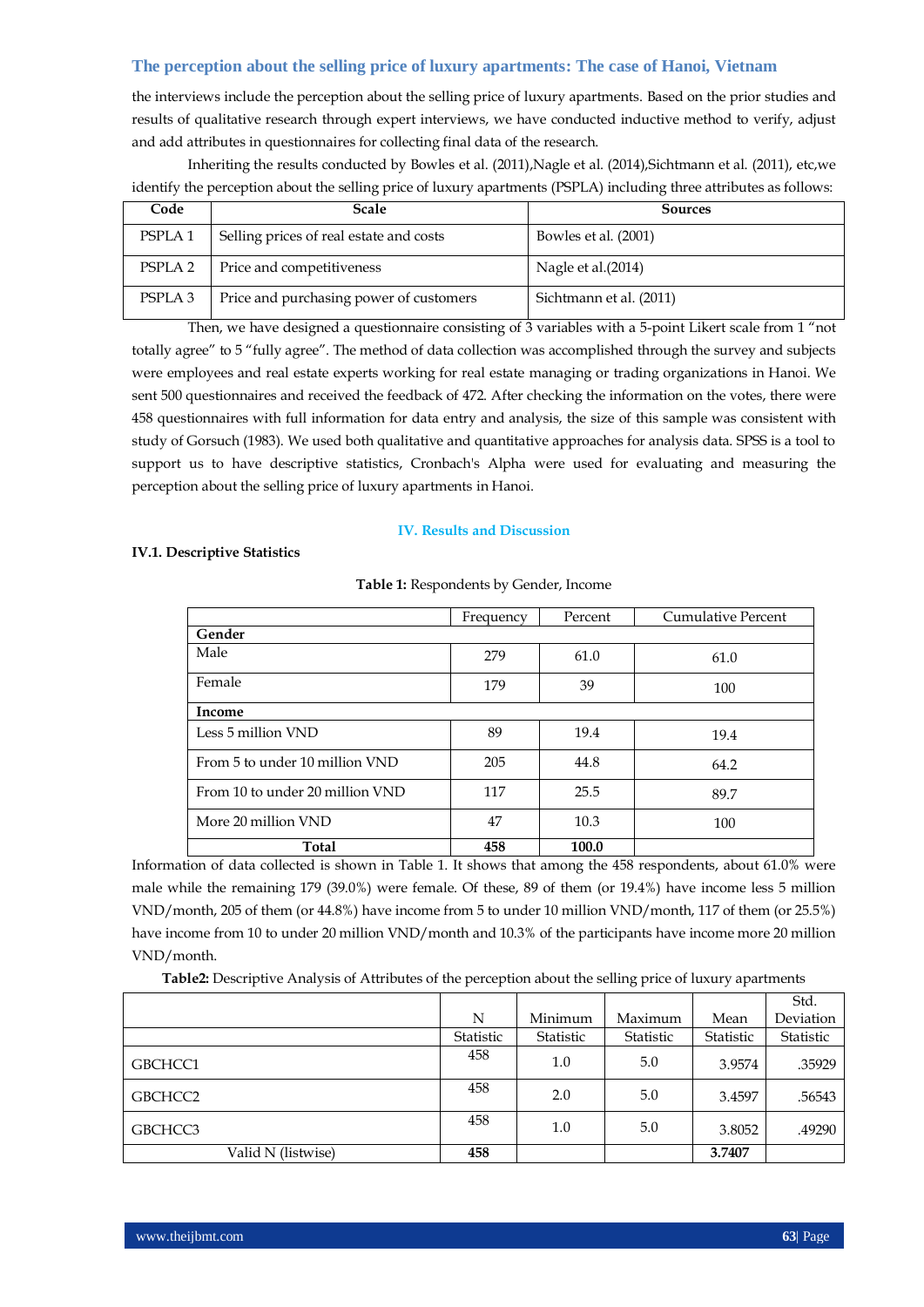the interviews include the perception about the selling price of luxury apartments. Based on the prior studies and results of qualitative research through expert interviews, we have conducted inductive method to verify, adjust and add attributes in questionnaires for collecting final data of the research.

Inheriting the results conducted by Bowles et al. (2011),Nagle et al. (2014),Sichtmann et al. (2011), etc,we identify the perception about the selling price of luxury apartments (PSPLA) including three attributes as follows:

| Code               | <b>Scale</b>                            | Sources                 |
|--------------------|-----------------------------------------|-------------------------|
| PSPLA <sub>1</sub> | Selling prices of real estate and costs | Bowles et al. (2001)    |
| PSPLA <sub>2</sub> | Price and competitiveness               | Nagle et al.(2014)      |
| PSPLA <sub>3</sub> | Price and purchasing power of customers | Sichtmann et al. (2011) |

Then, we have designed a questionnaire consisting of 3 variables with a 5-point Likert scale from 1 "not totally agree" to 5 "fully agree". The method of data collection was accomplished through the survey and subjects were employees and real estate experts working for real estate managing or trading organizations in Hanoi. We sent 500 questionnaires and received the feedback of 472. After checking the information on the votes, there were 458 questionnaires with full information for data entry and analysis, the size of this sample was consistent with study of Gorsuch (1983). We used both qualitative and quantitative approaches for analysis data. SPSS is a tool to support us to have descriptive statistics, Cronbach's Alpha were used for evaluating and measuring the perception about the selling price of luxury apartments in Hanoi.

#### **IV. Results and Discussion**

## **IV.1. Descriptive Statistics**

|                                 | Frequency | Percent | Cumulative Percent |  |
|---------------------------------|-----------|---------|--------------------|--|
| Gender                          |           |         |                    |  |
| Male                            | 279       | 61.0    | 61.0               |  |
| Female                          | 179       | 39      | 100                |  |
| Income                          |           |         |                    |  |
| Less 5 million VND              | 89        | 19.4    | 19.4               |  |
| From 5 to under 10 million VND  | 205       | 44.8    | 64.2               |  |
| From 10 to under 20 million VND | 117       | 25.5    | 89.7               |  |
| More 20 million VND             | 47        | 10.3    | 100                |  |
| Total                           | 458       | 100.0   |                    |  |

## **Table 1:** Respondents by Gender, Income

Information of data collected is shown in Table 1. It shows that among the 458 respondents, about 61.0% were male while the remaining 179 (39.0%) were female. Of these, 89 of them (or 19.4%) have income less 5 million VND/month, 205 of them (or 44.8%) have income from 5 to under 10 million VND/month, 117 of them (or 25.5%) have income from 10 to under 20 million VND/month and 10.3% of the participants have income more 20 million VND/month.

**Table2:** Descriptive Analysis of Attributes of the perception about the selling price of luxury apartments

|                    |           |           |           |           | Std.      |
|--------------------|-----------|-----------|-----------|-----------|-----------|
|                    | N         | Minimum   | Maximum   | Mean      | Deviation |
|                    | Statistic | Statistic | Statistic | Statistic | Statistic |
| GBCHCC1            | 458       | 1.0       | 5.0       | 3.9574    | .35929    |
| GBCHCC2            | 458       | 2.0       | 5.0       | 3.4597    | .56543    |
| GBCHCC3            | 458       | 1.0       | 5.0       | 3.8052    | .49290    |
| Valid N (listwise) | 458       |           |           | 3.7407    |           |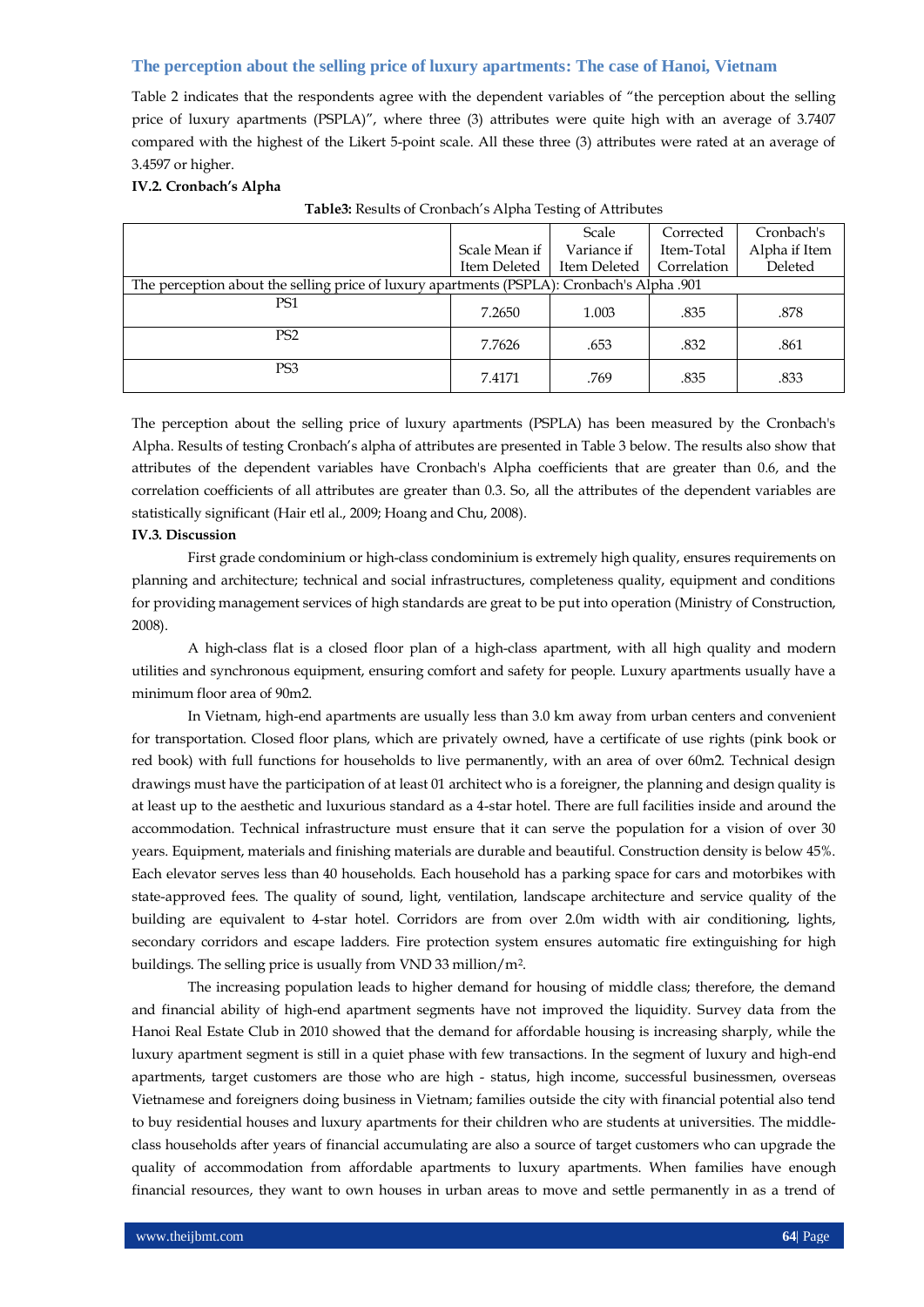Table 2 indicates that the respondents agree with the dependent variables of "the perception about the selling price of luxury apartments (PSPLA)", where three (3) attributes were quite high with an average of 3.7407 compared with the highest of the Likert 5-point scale. All these three (3) attributes were rated at an average of 3.4597 or higher.

#### **IV.2. Cronbach's Alpha**

|                                                                                            |               | Scale        | Corrected   | Cronbach's    |  |
|--------------------------------------------------------------------------------------------|---------------|--------------|-------------|---------------|--|
|                                                                                            | Scale Mean if | Variance if  | Item-Total  | Alpha if Item |  |
|                                                                                            | Item Deleted  | Item Deleted | Correlation | Deleted       |  |
| The perception about the selling price of luxury apartments (PSPLA): Cronbach's Alpha .901 |               |              |             |               |  |
| PS1                                                                                        | 7.2650        | 1.003        | .835        | .878          |  |
| P <sub>S2</sub>                                                                            | 7.7626        | .653         | .832        | .861          |  |
| PS <sub>3</sub>                                                                            | 7.4171        | .769         | .835        | .833          |  |

**Table3:** Results of Cronbach's Alpha Testing of Attributes

The perception about the selling price of luxury apartments (PSPLA) has been measured by the Cronbach's Alpha. Results of testing Cronbach's alpha of attributes are presented in Table 3 below. The results also show that attributes of the dependent variables have Cronbach's Alpha coefficients that are greater than 0.6, and the correlation coefficients of all attributes are greater than 0.3. So, all the attributes of the dependent variables are statistically significant (Hair etl al., 2009; Hoang and Chu, 2008).

#### **IV.3. Discussion**

First grade condominium or high-class condominium is extremely high quality, ensures requirements on planning and architecture; technical and social infrastructures, completeness quality, equipment and conditions for providing management services of high standards are great to be put into operation (Ministry of Construction, 2008).

A high-class flat is a closed floor plan of a high-class apartment, with all high quality and modern utilities and synchronous equipment, ensuring comfort and safety for people. Luxury apartments usually have a minimum floor area of 90m2.

In Vietnam, high-end apartments are usually less than 3.0 km away from urban centers and convenient for transportation. Closed floor plans, which are privately owned, have a certificate of use rights (pink book or red book) with full functions for households to live permanently, with an area of over 60m2. Technical design drawings must have the participation of at least 01 architect who is a foreigner, the planning and design quality is at least up to the aesthetic and luxurious standard as a 4-star hotel. There are full facilities inside and around the accommodation. Technical infrastructure must ensure that it can serve the population for a vision of over 30 years. Equipment, materials and finishing materials are durable and beautiful. Construction density is below 45%. Each elevator serves less than 40 households. Each household has a parking space for cars and motorbikes with state-approved fees. The quality of sound, light, ventilation, landscape architecture and service quality of the building are equivalent to 4-star hotel. Corridors are from over 2.0m width with air conditioning, lights, secondary corridors and escape ladders. Fire protection system ensures automatic fire extinguishing for high buildings. The selling price is usually from VND 33 million/m2.

The increasing population leads to higher demand for housing of middle class; therefore, the demand and financial ability of high-end apartment segments have not improved the liquidity. Survey data from the Hanoi Real Estate Club in 2010 showed that the demand for affordable housing is increasing sharply, while the luxury apartment segment is still in a quiet phase with few transactions. In the segment of luxury and high-end apartments, target customers are those who are high - status, high income, successful businessmen, overseas Vietnamese and foreigners doing business in Vietnam; families outside the city with financial potential also tend to buy residential houses and luxury apartments for their children who are students at universities. The middleclass households after years of financial accumulating are also a source of target customers who can upgrade the quality of accommodation from affordable apartments to luxury apartments. When families have enough financial resources, they want to own houses in urban areas to move and settle permanently in as a trend of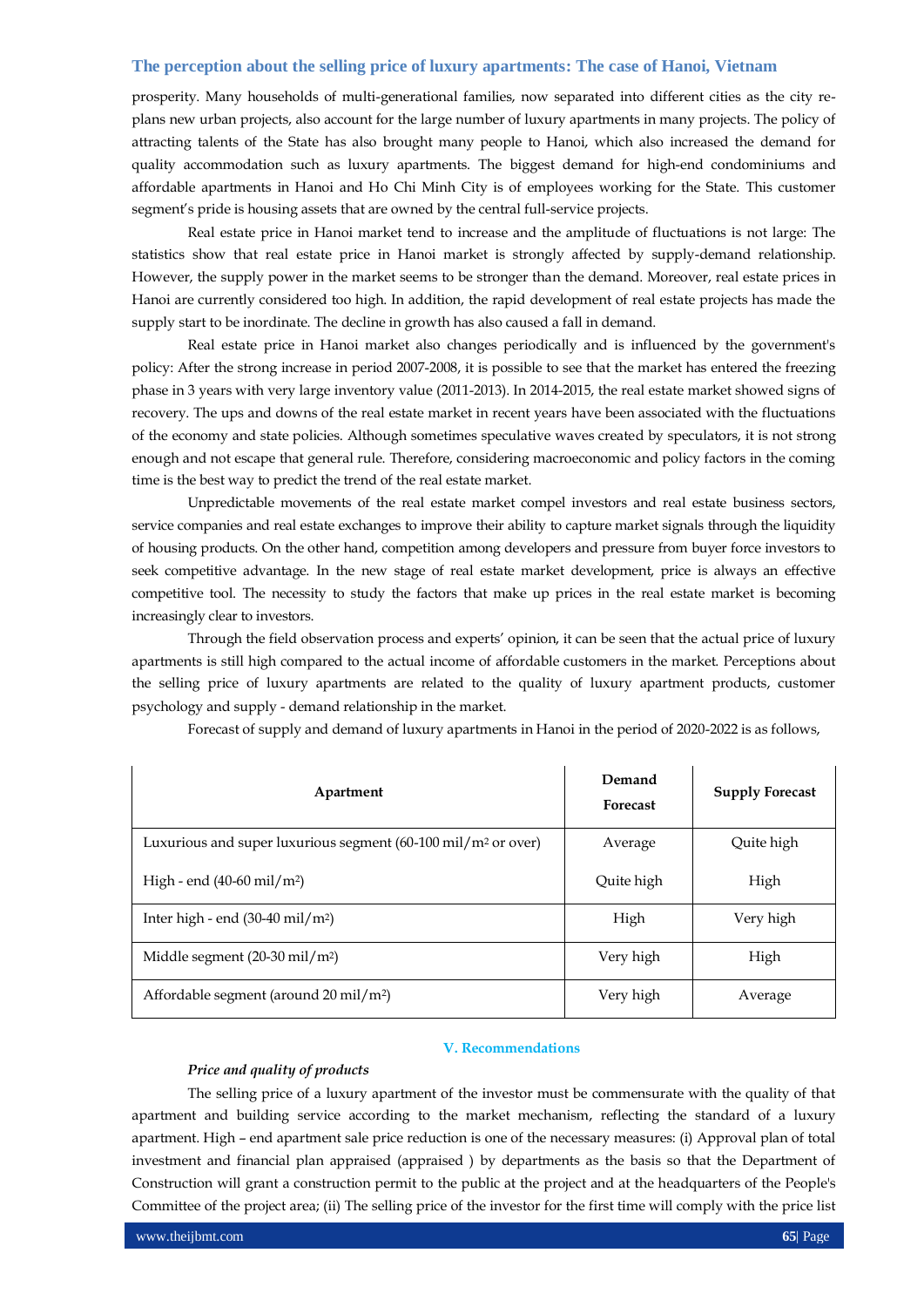prosperity. Many households of multi-generational families, now separated into different cities as the city replans new urban projects, also account for the large number of luxury apartments in many projects. The policy of attracting talents of the State has also brought many people to Hanoi, which also increased the demand for quality accommodation such as luxury apartments. The biggest demand for high-end condominiums and affordable apartments in Hanoi and Ho Chi Minh City is of employees working for the State. This customer segment's pride is housing assets that are owned by the central full-service projects.

Real estate price in Hanoi market tend to increase and the amplitude of fluctuations is not large: The statistics show that real estate price in Hanoi market is strongly affected by supply-demand relationship. However, the supply power in the market seems to be stronger than the demand. Moreover, real estate prices in Hanoi are currently considered too high. In addition, the rapid development of real estate projects has made the supply start to be inordinate. The decline in growth has also caused a fall in demand.

Real estate price in Hanoi market also changes periodically and is influenced by the government's policy: After the strong increase in period 2007-2008, it is possible to see that the market has entered the freezing phase in 3 years with very large inventory value (2011-2013). In 2014-2015, the real estate market showed signs of recovery. The ups and downs of the real estate market in recent years have been associated with the fluctuations of the economy and state policies. Although sometimes speculative waves created by speculators, it is not strong enough and not escape that general rule. Therefore, considering macroeconomic and policy factors in the coming time is the best way to predict the trend of the real estate market.

Unpredictable movements of the real estate market compel investors and real estate business sectors, service companies and real estate exchanges to improve their ability to capture market signals through the liquidity of housing products. On the other hand, competition among developers and pressure from buyer force investors to seek competitive advantage. In the new stage of real estate market development, price is always an effective competitive tool. The necessity to study the factors that make up prices in the real estate market is becoming increasingly clear to investors.

Through the field observation process and experts' opinion, it can be seen that the actual price of luxury apartments is still high compared to the actual income of affordable customers in the market. Perceptions about the selling price of luxury apartments are related to the quality of luxury apartment products, customer psychology and supply - demand relationship in the market.

Forecast of supply and demand of luxury apartments in Hanoi in the period of 2020-2022 is as follows,

| Apartment                                                                 | Demand<br><b>Forecast</b> | <b>Supply Forecast</b> |
|---------------------------------------------------------------------------|---------------------------|------------------------|
| Luxurious and super luxurious segment (60-100 mil/m <sup>2</sup> or over) | Average                   | Quite high             |
| High - end $(40-60 \text{ mil/m}^2)$                                      | Quite high                | High                   |
| Inter high - end $(30-40 \text{ mil/m}^2)$                                | High                      | Very high              |
| Middle segment $(20-30 \text{ mil/m}^2)$                                  | Very high                 | High                   |
| Affordable segment (around 20 mil/m <sup>2</sup> )                        | Very high                 | Average                |

#### **V. Recommendations**

#### *Price and quality of products*

The selling price of a luxury apartment of the investor must be commensurate with the quality of that apartment and building service according to the market mechanism, reflecting the standard of a luxury apartment. High – end apartment sale price reduction is one of the necessary measures: (i) Approval plan of total investment and financial plan appraised (appraised ) by departments as the basis so that the Department of Construction will grant a construction permit to the public at the project and at the headquarters of the People's Committee of the project area; (ii) The selling price of the investor for the first time will comply with the price list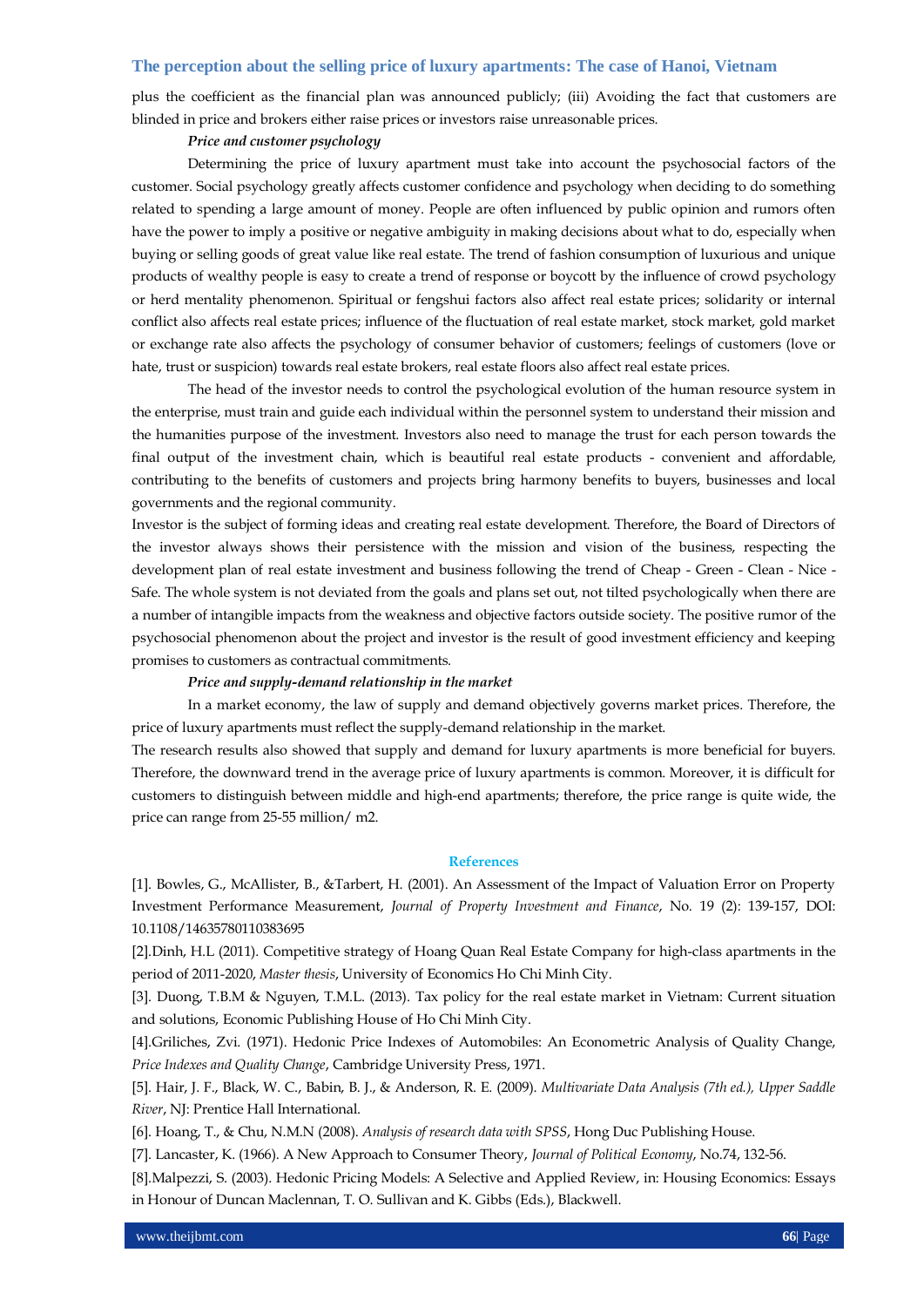plus the coefficient as the financial plan was announced publicly; (iii) Avoiding the fact that customers are blinded in price and brokers either raise prices or investors raise unreasonable prices.

#### *Price and customer psychology*

Determining the price of luxury apartment must take into account the psychosocial factors of the customer. Social psychology greatly affects customer confidence and psychology when deciding to do something related to spending a large amount of money. People are often influenced by public opinion and rumors often have the power to imply a positive or negative ambiguity in making decisions about what to do, especially when buying or selling goods of great value like real estate. The trend of fashion consumption of luxurious and unique products of wealthy people is easy to create a trend of response or boycott by the influence of crowd psychology or herd mentality phenomenon. Spiritual or fengshui factors also affect real estate prices; solidarity or internal conflict also affects real estate prices; influence of the fluctuation of real estate market, stock market, gold market or exchange rate also affects the psychology of consumer behavior of customers; feelings of customers (love or hate, trust or suspicion) towards real estate brokers, real estate floors also affect real estate prices.

The head of the investor needs to control the psychological evolution of the human resource system in the enterprise, must train and guide each individual within the personnel system to understand their mission and the humanities purpose of the investment. Investors also need to manage the trust for each person towards the final output of the investment chain, which is beautiful real estate products - convenient and affordable, contributing to the benefits of customers and projects bring harmony benefits to buyers, businesses and local governments and the regional community.

Investor is the subject of forming ideas and creating real estate development. Therefore, the Board of Directors of the investor always shows their persistence with the mission and vision of the business, respecting the development plan of real estate investment and business following the trend of Cheap - Green - Clean - Nice - Safe. The whole system is not deviated from the goals and plans set out, not tilted psychologically when there are a number of intangible impacts from the weakness and objective factors outside society. The positive rumor of the psychosocial phenomenon about the project and investor is the result of good investment efficiency and keeping promises to customers as contractual commitments.

#### *Price and supply-demand relationship in the market*

In a market economy, the law of supply and demand objectively governs market prices. Therefore, the price of luxury apartments must reflect the supply-demand relationship in the market.

The research results also showed that supply and demand for luxury apartments is more beneficial for buyers. Therefore, the downward trend in the average price of luxury apartments is common. Moreover, it is difficult for customers to distinguish between middle and high-end apartments; therefore, the price range is quite wide, the price can range from 25-55 million/ m2.

## **References**

[1]. Bowles, G., McAllister, B., &Tarbert, H. (2001). An Assessment of the Impact of Valuation Error on Property Investment Performance Measurement, *Journal of Property Investment and Finance*, No. 19 (2): 139-157, DOI: 10.1108/14635780110383695

[2].Dinh, H.L (2011). Competitive strategy of Hoang Quan Real Estate Company for high-class apartments in the period of 2011-2020, *Master thesis*, University of Economics Ho Chi Minh City.

[3]. Duong, T.B.M & Nguyen, T.M.L. (2013). Tax policy for the real estate market in Vietnam: Current situation and solutions, Economic Publishing House of Ho Chi Minh City.

[4].Griliches, Zvi. (1971). Hedonic Price Indexes of Automobiles: An Econometric Analysis of Quality Change, *Price Indexes and Quality Change*, Cambridge University Press, 1971.

[5]. Hair, J. F., Black, W. C., Babin, B. J., & Anderson, R. E. (2009). *Multivariate Data Analysis (7th ed.), Upper Saddle River*, NJ: Prentice Hall International.

[6]. Hoang, T., & Chu, N.M.N (2008). *Analysis of research data with SPSS*, Hong Duc Publishing House.

[7]. Lancaster, K. (1966). A New Approach to Consumer Theory, *Journal of Political Economy*, No.74, 132-56.

[8].Malpezzi, S. (2003). Hedonic Pricing Models: A Selective and Applied Review, in: Housing Economics: Essays in Honour of Duncan Maclennan, T. O. Sullivan and K. Gibbs (Eds.), Blackwell.